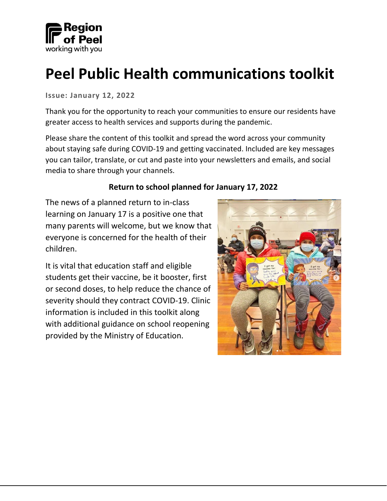

# **Peel Public Health communications toolkit**

**Issue: January 12, 2022**

Thank you for the opportunity to reach your communities to ensure our residents have greater access to health services and supports during the pandemic.

Please share the content of this toolkit and spread the word across your community about staying safe during COVID-19 and getting vaccinated. Included are key messages you can tailor, translate, or cut and paste into your newsletters and emails, and social media to share through your channels.

#### **Return to school planned for January 17, 2022**

The news of a planned return to in-class learning on January 17 is a positive one that many parents will welcome, but we know that everyone is concerned for the health of their children.

It is vital that education staff and eligible students get their vaccine, be it booster, first or second doses, to help reduce the chance of severity should they contract COVID-19. Clinic information is included in this toolkit along with additional guidance on school reopening provided by the Ministry of Education.

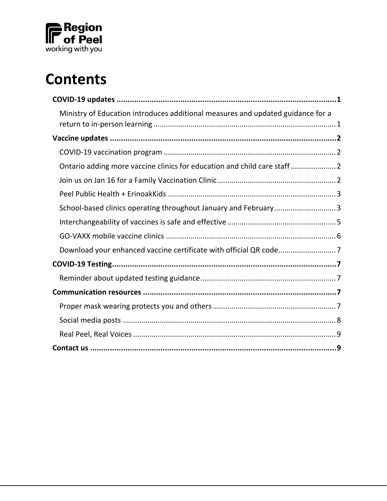

# **Contents**

| Ministry of Education introduces additional measures and updated guidance for a |
|---------------------------------------------------------------------------------|
|                                                                                 |
|                                                                                 |
| Ontario adding more vaccine clinics for education and child care staff  2       |
|                                                                                 |
|                                                                                 |
| School-based clinics operating throughout January and February3                 |
|                                                                                 |
|                                                                                 |
|                                                                                 |
|                                                                                 |
|                                                                                 |
|                                                                                 |
|                                                                                 |
|                                                                                 |
|                                                                                 |
|                                                                                 |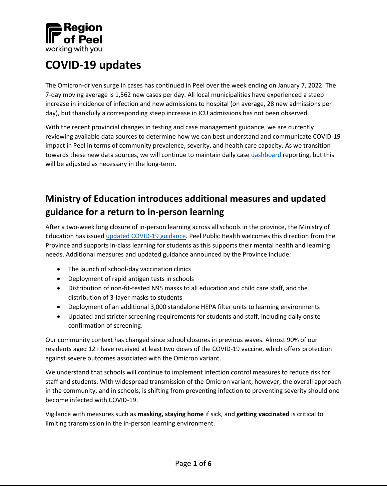

## <span id="page-2-0"></span>**COVID-19 updates**

The Omicron-driven surge in cases has continued in Peel over the week ending on January 7, 2022. The 7-day moving average is 1,562 new cases per day. All local municipalities have experienced a steep increase in incidence of infection and new admissions to hospital (on average, 28 new admissions per day), but thankfully a corresponding steep increase in ICU admissions has not been observed.

With the recent provincial changes in testing and case management guidance, we are currently reviewing available data sources to determine how we can best understand and communicate COVID-19 impact in Peel in terms of community prevalence, severity, and health care capacity. As we transition towards these new data sources, we will continue to maintain daily case [dashboard](https://www.peelregion.ca/coronavirus/case-status/) reporting, but this will be adjusted as necessary in the long-term.

## <span id="page-2-1"></span>**Ministry of Education introduces additional measures and updated guidance for a return to in-person learning**

After a two-week long closure of in-person learning across all schools in the province, the Ministry of Education has issue[d updated COVID-19 guidance.](https://news.ontario.ca/en/release/1001417/ontario-launching-school-based-vaccine-clinics-as-students-return-to-in-person-learning) Peel Public Health welcomes this direction from the Province and supports in-class learning for students as this supports their mental health and learning needs. Additional measures and updated guidance announced by the Province include:

- The launch of school-day vaccination clinics
- Deployment of rapid antigen tests in schools
- Distribution of non-fit-tested N95 masks to all education and child care staff, and the distribution of 3-layer masks to students
- Deployment of an additional 3,000 standalone HEPA filter units to learning environments
- Updated and stricter screening requirements for students and staff, including daily onsite confirmation of screening.

Our community context has changed since school closures in previous waves. Almost 90% of our residents aged 12+ have received at least two doses of the COVID-19 vaccine, which offers protection against severe outcomes associated with the Omicron variant.

We understand that schools will continue to implement infection control measures to reduce risk for staff and students. With widespread transmission of the Omicron variant, however, the overall approach in the community, and in schools, is shifting from preventing infection to preventing severity should one become infected with COVID-19.

Vigilance with measures such as **masking, staying home** if sick, and **getting vaccinated** is critical to limiting transmission in the in-person learning environment.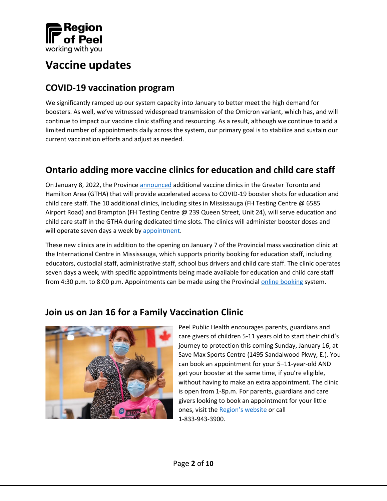

## <span id="page-3-0"></span>**Vaccine updates**

#### <span id="page-3-1"></span>**COVID-19 vaccination program**

We significantly ramped up our system capacity into January to better meet the high demand for boosters. As well, we've witnessed widespread transmission of the Omicron variant, which has, and will continue to impact our vaccine clinic staffing and resourcing. As a result, although we continue to add a limited number of appointments daily across the system, our primary goal is to stabilize and sustain our current vaccination efforts and adjust as needed.

## <span id="page-3-2"></span>**Ontario adding more vaccine clinics for education and child care staff**

On January 8, 2022, the Province [announced](https://news.ontario.ca/en/release/1001404/ontario-adding-more-vaccine-clinics-for-education-and-child-care-staff) additional vaccine clinics in the Greater Toronto and Hamilton Area (GTHA) that will provide accelerated access to COVID-19 booster shots for education and child care staff. The 10 additional clinics, including sites in Mississauga (FH Testing Centre @ 6585 Airport Road) and Brampton (FH Testing Centre @ 239 Queen Street, Unit 24), will serve education and child care staff in the GTHA during dedicated time slots. The clinics will administer booster doses and will operate seven days a week by [appointment.](https://www.fhvax.com/)

These new clinics are in addition to the opening on January 7 of the Provincial mass vaccination clinic at the International Centre in Mississauga, which supports priority booking for education staff, including educators, custodial staff, administrative staff, school bus drivers and child care staff. The clinic operates seven days a week, with specific appointments being made available for education and child care staff from 4:30 p.m. to 8:00 p.m. Appointments can be made using the Provincial [online booking](https://covid-19.ontario.ca/book-vaccine/) system.

#### <span id="page-3-3"></span>**Join us on Jan 16 for a Family Vaccination Clinic**



Peel Public Health encourages parents, guardians and care givers of children 5-11 years old to start their child's journey to protection this coming Sunday, January 16, at Save Max Sports Centre (1495 Sandalwood Pkwy, E.). You can book an appointment for your 5–11-year-old AND get your booster at the same time, if you're eligible, without having to make an extra appointment. The clinic is open from 1-8p.m. For parents, guardians and care givers looking to book an appointment for your little ones, visit the Region'[s website](https://peelregion.ca/coronavirus/vaccine/book-appointment/) or call 1-833-943-3900.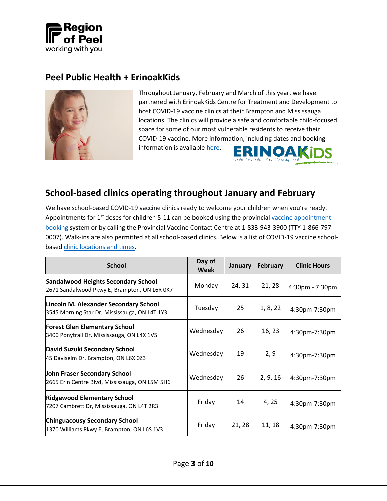

#### <span id="page-4-0"></span>**Peel Public Health + ErinoakKids**



Throughout January, February and March of this year, we have partnered with ErinoakKids Centre for Treatment and Development to host COVID-19 vaccine clinics at their Brampton and Mississauga locations. The clinics will provide a safe and comfortable child-focused space for some of our most vulnerable residents to receive their COVID-19 vaccine. More information, including dates and booking information is availabl[e here.](https://www.erinoakkids.ca/about-us/news-and-announcements/covid19vaccinationclinics-aa78cb9e8ba587be02862cfcf3e0543b) **ERINOAK** 

Centre for Treatment and Develop

#### <span id="page-4-1"></span>**School-based clinics operating throughout January and February**

We have school-based COVID-19 vaccine clinics ready to welcome your children when you're ready. Appointments for 1<sup>st</sup> doses for children 5-11 can be booked using the provincial vaccine appointment [booking](https://covid-19.ontario.ca/book-vaccine/) system or by calling the Provincial Vaccine Contact Centre at 1-833-943-3900 (TTY 1-866-797- 0007). Walk-ins are also permitted at all school-based clinics. Below is a list of COVID-19 vaccine schoolbased [clinic locations](https://peelregion.ca/coronavirus/vaccine/book-appointment/#schools) and times.

| <b>School</b>                                                                              | Day of<br><b>Week</b> | January | <b>February</b> | <b>Clinic Hours</b> |
|--------------------------------------------------------------------------------------------|-----------------------|---------|-----------------|---------------------|
| <b>Sandalwood Heights Secondary School</b><br>2671 Sandalwood Pkwy E, Brampton, ON L6R 0K7 | Monday                | 24, 31  | 21, 28          | 4:30pm - 7:30pm     |
| Lincoln M. Alexander Secondary School<br>3545 Morning Star Dr, Mississauga, ON L4T 1Y3     | Tuesday               | 25      | 1, 8, 22        | 4:30pm-7:30pm       |
| Forest Glen Elementary School<br>3400 Ponytrail Dr, Mississauga, ON L4X 1V5                | Wednesday             | 26      | 16, 23          | 4:30pm-7:30pm       |
| David Suzuki Secondary School<br>45 Daviselm Dr, Brampton, ON L6X 0Z3                      | Wednesday             | 19      | 2, 9            | 4:30pm-7:30pm       |
| John Fraser Secondary School<br>2665 Erin Centre Blvd, Mississauga, ON L5M 5H6             | Wednesday             | 26      | 2, 9, 16        | 4:30pm-7:30pm       |
| <b>Ridgewood Elementary School</b><br>7207 Cambrett Dr, Mississauga, ON L4T 2R3            | Friday                | 14      | 4, 25           | 4:30pm-7:30pm       |
| <b>Chinguacousy Secondary School</b><br>1370 Williams Pkwy E, Brampton, ON L6S 1V3         | Friday                | 21, 28  | 11, 18          | 4:30pm-7:30pm       |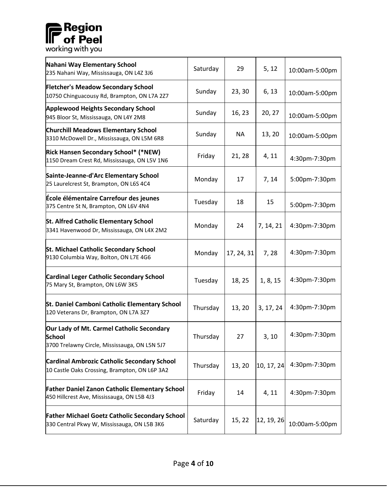# **Region**<br> **IF** of Peel<br> **working with you**

| Nahani Way Elementary School<br>235 Nahani Way, Mississauga, ON L4Z 3J6                                     | Saturday | 29         | 5, 12      | 10:00am-5:00pm |
|-------------------------------------------------------------------------------------------------------------|----------|------------|------------|----------------|
| <b>Fletcher's Meadow Secondary School</b><br>10750 Chinguacousy Rd, Brampton, ON L7A 2Z7                    | Sunday   | 23, 30     | 6, 13      | 10:00am-5:00pm |
| <b>Applewood Heights Secondary School</b><br>945 Bloor St, Mississauga, ON L4Y 2M8                          | Sunday   | 16, 23     | 20, 27     | 10:00am-5:00pm |
| <b>Churchill Meadows Elementary School</b><br>3310 McDowell Dr., Mississauga, ON L5M 6R8                    | Sunday   | <b>NA</b>  | 13, 20     | 10:00am-5:00pm |
| Rick Hansen Secondary School* (*NEW)<br>1150 Dream Crest Rd, Mississauga, ON L5V 1N6                        | Friday   | 21, 28     | 4, 11      | 4:30pm-7:30pm  |
| Sainte-Jeanne-d'Arc Elementary School<br>25 Laurelcrest St, Brampton, ON L6S 4C4                            | Monday   | 17         | 7, 14      | 5:00pm-7:30pm  |
| École élémentaire Carrefour des jeunes<br>375 Centre St N, Brampton, ON L6V 4N4                             | Tuesday  | 18         | 15         | 5:00pm-7:30pm  |
| <b>St. Alfred Catholic Elementary School</b><br>3341 Havenwood Dr, Mississauga, ON L4X 2M2                  | Monday   | 24         | 7, 14, 21  | 4:30pm-7:30pm  |
| <b>St. Michael Catholic Secondary School</b><br>9130 Columbia Way, Bolton, ON L7E 4G6                       | Monday   | 17, 24, 31 | 7,28       | 4:30pm-7:30pm  |
| <b>Cardinal Leger Catholic Secondary School</b><br>75 Mary St, Brampton, ON L6W 3K5                         | Tuesday  | 18, 25     | 1, 8, 15   | 4:30pm-7:30pm  |
| St. Daniel Camboni Catholic Elementary School<br>120 Veterans Dr, Brampton, ON L7A 3Z7                      | Thursday | 13, 20     | 3, 17, 24  | 4:30pm-7:30pm  |
| Our Lady of Mt. Carmel Catholic Secondary<br><b>School</b><br>3700 Trelawny Circle, Mississauga, ON L5N 5J7 | Thursday | 27         | 3, 10      | 4:30pm-7:30pm  |
| <b>Cardinal Ambrozic Catholic Secondary School</b><br>10 Castle Oaks Crossing, Brampton, ON L6P 3A2         | Thursday | 13, 20     | 10, 17, 24 | 4:30pm-7:30pm  |
| <b>Father Daniel Zanon Catholic Elementary School</b><br>450 Hillcrest Ave, Mississauga, ON L5B 4J3         | Friday   | 14         | 4, 11      | 4:30pm-7:30pm  |
| <b>Father Michael Goetz Catholic Secondary School</b><br>330 Central Pkwy W, Mississauga, ON L5B 3K6        | Saturday | 15, 22     | 12, 19, 26 | 10:00am-5:00pm |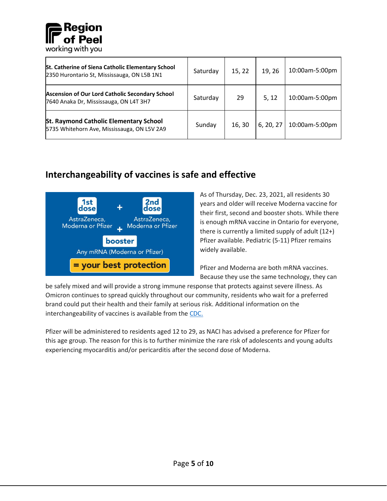

| St. Catherine of Siena Catholic Elementary School<br>2350 Hurontario St, Mississauga, ON L5B 1N1 | Saturday | 15, 22 | 19, 26    | 10:00am-5:00pm |
|--------------------------------------------------------------------------------------------------|----------|--------|-----------|----------------|
| Ascension of Our Lord Catholic Secondary School<br>7640 Anaka Dr, Mississauga, ON L4T 3H7        | Saturday | 29     | 5, 12     | 10:00am-5:00pm |
| <b>St. Raymond Catholic Elementary School</b><br>5735 Whitehorn Ave, Mississauga, ON L5V 2A9     | Sunday   | 16,30  | 6, 20, 27 | 10:00am-5:00pm |

## <span id="page-6-0"></span>**Interchangeability of vaccines is safe and effective**



As of Thursday, Dec. 23, 2021, all residents 30 years and older will receive Moderna vaccine for their first, second and booster shots. While there is enough mRNA vaccine in Ontario for everyone, there is currently a limited supply of adult (12+) Pfizer available. Pediatric (5-11) Pfizer remains widely available.

Pfizer and Moderna are both mRNA vaccines. Because they use the same technology, they can

be safely mixed and will provide a strong immune response that protects against severe illness. As Omicron continues to spread quickly throughout our community, residents who wait for a preferred brand could put their health and their family at serious risk. Additional information on the interchangeability of vaccines is available from the [CDC.](https://www.cdc.gov/vaccines/covid-19/clinical-considerations/covid-19-vaccines-us.html?CDC_AA_refVal=https%3A%2F%2Fwww.cdc.gov%2Fvaccines%2Fcovid-19%2Finfo-by-product%2Fclinical-considerations.html#Interchangeability)

Pfizer will be administered to residents aged 12 to 29, as NACI has advised a preference for Pfizer for this age group. The reason for this is to further minimize the rare risk of adolescents and young adults experiencing myocarditis and/or pericarditis after the second dose of Moderna.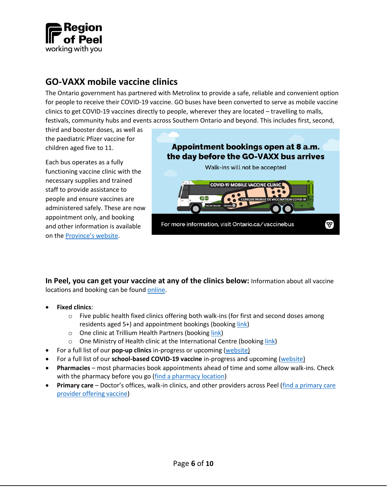

#### <span id="page-7-0"></span>**GO-VAXX mobile vaccine clinics**

The Ontario government has partnered with Metrolinx to provide a safe, reliable and convenient option for people to receive their COVID-19 vaccine. GO buses have been converted to serve as mobile vaccine clinics to get COVID-19 vaccines directly to people, wherever they are located – travelling to malls, festivals, community hubs and events across Southern Ontario and beyond. This includes first, second,

third and booster doses, as well as the paediatric Pfizer vaccine for children aged five to 11.

Each bus operates as a fully functioning vaccine clinic with the necessary supplies and trained staff to provide assistance to people and ensure vaccines are administered safely. These are now appointment only, and booking and other information is available on the Province'[s website.](https://www.ontario.ca/page/go-vaxx-bus-schedule)



**In Peel, you can get your vaccine at any of the clinics below:** Information about all vaccine locations and booking can be foun[d online.](https://www.peelregion.ca/coronavirus/vaccine/book-appointment/)

- **Fixed clinics**:
	- $\circ$  Five public health fixed clinics offering both walk-ins (for first and second doses among residents aged 5+) and appointment bookings (booking [link\)](https://covid-19.ontario.ca/book-vaccine/)
	- o One clinic at Trillium Health Partners (booking [link\)](https://trilliumhealthpartners.ca/covid-19/a/vaccine.html#starthere)
	- o One Ministry of Health clinic at the International Centre (booking [link\)](https://covid-19.ontario.ca/book-vaccine/)
- For a full list of our **pop-up clinics** in-progress or upcoming [\(website\)](https://www.peelregion.ca/coronavirus/vaccine/book-appointment/#popup)
- For a full list of our **school-based COVID-19 vaccine** in-progress and upcoming [\(website\)](https://www.peelregion.ca/coronavirus/vaccine/book-appointment/#schools)
- **Pharmacies** most pharmacies book appointments ahead of time and some allow walk-ins. Check with the pharmacy before you go [\(find a pharmacy location\)](https://covid-19.ontario.ca/vaccine-locations)
- **Primary care** Doctor's offices, walk-in clinics, and other providers across Peel [\(find a primary care](https://peelregion.ca/coronavirus/vaccine/book-appointment/care-providers/)  [provider offering vaccine\)](https://peelregion.ca/coronavirus/vaccine/book-appointment/care-providers/)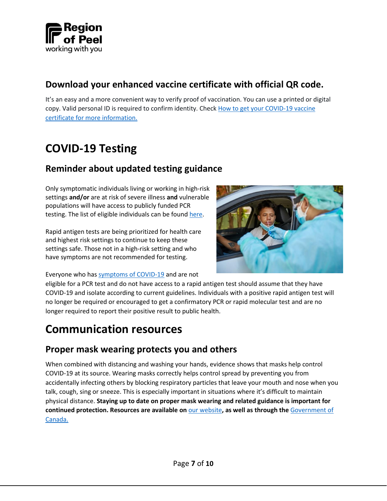

#### <span id="page-8-0"></span>**Download your enhanced vaccine certificate with official QR code.**

It's an easy and a more convenient way to verify proof of vaccination. You can use a printed or digital copy. Valid personal ID is required to confirm identity. Check [How to get your COVID-19 vaccine](https://covid-19.ontario.ca/get-proof/)  [certificate for more information.](https://covid-19.ontario.ca/get-proof/)

## <span id="page-8-1"></span>**COVID-19 Testing**

#### <span id="page-8-2"></span>**Reminder about updated testing guidance**

Only symptomatic individuals living or working in high-risk settings **and/or** are at risk of severe illness **and** vulnerable populations will have access to publicly funded PCR testing. The list of eligible individuals can be found [here.](https://news.ontario.ca/en/backgrounder/1001387/updated-eligibility-for-pcr-testing-and-case-and-contact-management-guidance-in-ontario?utm_campaign=%2Fen%2Frelease%2F1001386%2Fontario-updating-public-health-measures-and-guidance-in-response-to-omicron&utm_term=public&utm_source=newsroom&utm_medium=email)

Rapid antigen tests are being prioritized for health care and highest risk settings to continue to keep these settings safe. Those not in a high-risk setting and who have symptoms are not recommended for testing.



Everyone who has [symptoms of COVID-19](https://www.ontario.ca/page/covid-19-stop-spread) and are not

eligible for a PCR test and do not have access to a rapid antigen test should assume that they have COVID-19 and isolate according to current guidelines. Individuals with a positive rapid antigen test will no longer be required or encouraged to get a confirmatory PCR or rapid molecular test and are no longer required to report their positive result to public health.

## <span id="page-8-3"></span>**Communication resources**

#### <span id="page-8-4"></span>**Proper mask wearing protects you and others**

When combined with distancing and washing your hands, evidence shows that masks help control COVID-19 at its source. Wearing masks correctly helps control spread by preventing you from accidentally infecting others by blocking respiratory particles that leave your mouth and nose when you talk, cough, sing or sneeze. This is especially important in situations where it's difficult to maintain physical distance. **Staying up to date on proper mask wearing and related guidance is important for continued protection. Resources are available on** [our website](https://www.peelregion.ca/coronavirus/prevention/#masks)**, as well as through the** [Government of](https://www.canada.ca/en/public-health/services/publications/diseases-conditions/covid-19-safely-use-non-medical-mask-face-covering.html)  [Canada.](https://www.canada.ca/en/public-health/services/publications/diseases-conditions/covid-19-safely-use-non-medical-mask-face-covering.html)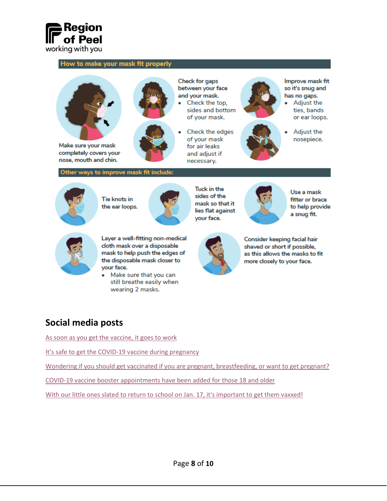

#### How to make your mask fit properly



completely covers your nose, mouth and chin.

#### Other ways to improve mask fit include:



Tie knots in the ear loops.



**Check for gaps** between your face and your mask.

- Check the top. sides and bottom of your mask.
- Check the edges of your mask for air leaks and adjust if necessary.

- 
- 



Improve mask fit so it's snug and has no gaps.

Adjust the ties, bands or ear loops.



Adjust the nosepiece.



Use a mask fitter or brace to help provide a snug fit.



#### Layer a well-fitting non-medical cloth mask over a disposable mask to help push the edges of the disposable mask closer to vour face.

Make sure that you can still breathe easily when wearing 2 masks.



Consider keeping facial hair shaved or short if possible. as this allows the masks to fit more closely to your face.

#### <span id="page-9-0"></span>**Social media posts**

As soon as you get the [vaccine, it goes](https://twitter.com/regionofpeel/status/1480195155055448070) to work

It'[s safe to get the COVID-19 vaccine during pregnancy](https://twitter.com/regionofpeel/status/1481024368956219394)

[Wondering if you should get vaccinated if you are pregnant, breastfeeding, or want to get pregnant?](https://twitter.com/regionofpeel/status/1479590168319475713)

[COVID-19 vaccine booster appointments have been added for those 18 and older](https://twitter.com/regionofpeel/status/1480723352146878465)

[With our little ones slated to return to school on Jan. 17, it's important to get them vaxxed!](https://twitter.com/regionofpeel/status/1481251616170942470)